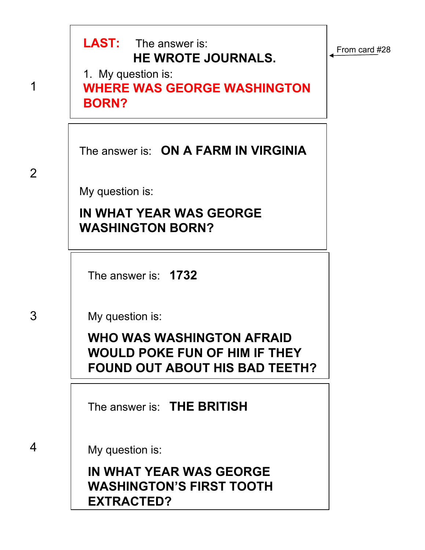

**EXTRACTED?**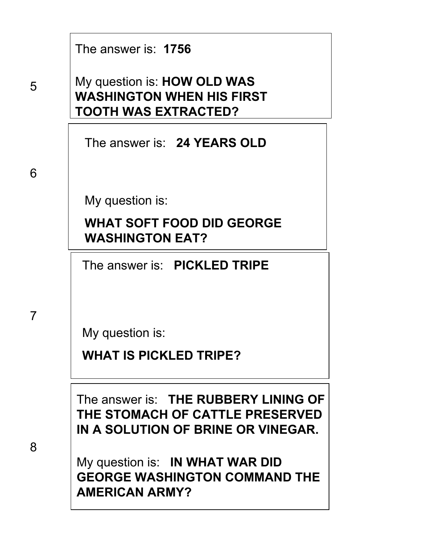| The answer is: 1756 |  |  |
|---------------------|--|--|
|---------------------|--|--|

My question is: **HOW OLD WAS WASHINGTON WHEN HIS FIRST TOOTH WAS EXTRACTED?**

The answer is: **24 YEARS OLD**

My question is:

**WHAT SOFT FOOD DID GEORGE WASHINGTON EAT?**

The answer is: **PICKLED TRIPE**

My question is:

**WHAT IS PICKLED TRIPE?**

The answer is: **THE RUBBERY LINING OF THE STOMACH OF CATTLE PRESERVED IN A SOLUTION OF BRINE OR VINEGAR.**

My question is: **IN WHAT WAR DID GEORGE WASHINGTON COMMAND THE AMERICAN ARMY?**

8

7

5

6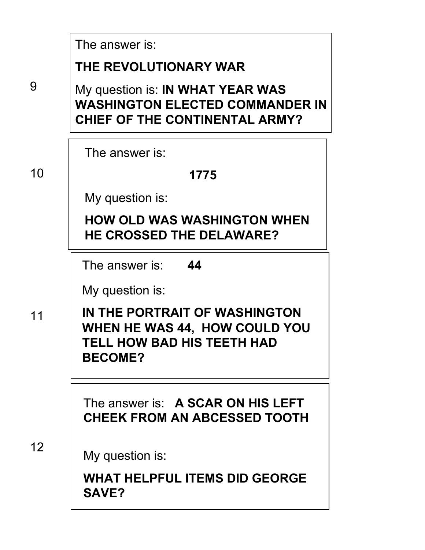|    | The answer is:                                                                                                      |
|----|---------------------------------------------------------------------------------------------------------------------|
|    | THE REVOLUTIONARY WAR                                                                                               |
| 9  | My question is: IN WHAT YEAR WAS<br><b>WASHINGTON ELECTED COMMANDER IN</b><br><b>CHIEF OF THE CONTINENTAL ARMY?</b> |
|    | The answer is:                                                                                                      |
| 10 | 1775                                                                                                                |
|    | My question is:                                                                                                     |
|    | <b>HOW OLD WAS WASHINGTON WHEN</b><br><b>HE CROSSED THE DELAWARE?</b>                                               |
|    | 44<br>The answer is:                                                                                                |
|    | My question is:                                                                                                     |
| 11 | IN THE PORTRAIT OF WASHINGTON<br>WHEN HE WAS 44, HOW COULD YOU<br>TELL HOW BAD HIS TEETH HAD<br><b>BECOME?</b>      |
|    | The answer is: A SCAR ON HIS LEFT<br><b>CHEEK FROM AN ABCESSED TOOTH</b>                                            |
| 12 | My question is:<br><b>WHAT HELPFUL ITEMS DID GEORGE</b><br><b>SAVE?</b>                                             |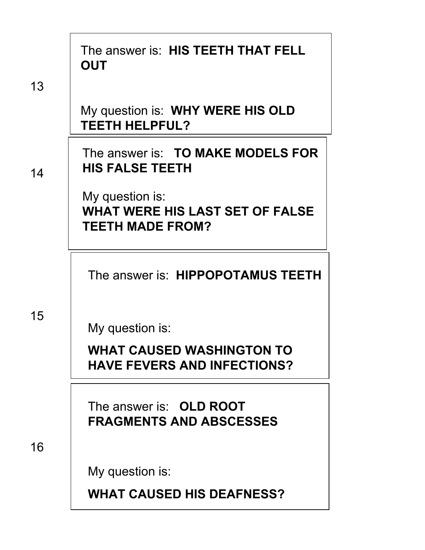|    | The answer is: HIS TEETH THAT FELL<br><b>OUT</b>                                     |  |
|----|--------------------------------------------------------------------------------------|--|
| 13 |                                                                                      |  |
|    | My question is: WHY WERE HIS OLD<br><b>TEETH HELPFUL?</b>                            |  |
| 14 | The answer is: TO MAKE MODELS FOR<br><b>HIS FALSE TEETH</b>                          |  |
|    | My question is:<br><b>WHAT WERE HIS LAST SET OF FALSE</b><br><b>TEETH MADE FROM?</b> |  |
|    | The answer is: HIPPOPOTAMUS TEETH                                                    |  |
| 15 | My question is:                                                                      |  |
|    | <b>WHAT CAUSED WASHINGTON TO</b><br><b>HAVE FEVERS AND INFECTIONS?</b>               |  |
|    | The answer is: OLD ROOT<br><b>FRAGMENTS AND ABSCESSES</b>                            |  |
| 16 |                                                                                      |  |
|    | My question is:                                                                      |  |
|    | <b>WHAT CAUSED HIS DEAFNESS?</b>                                                     |  |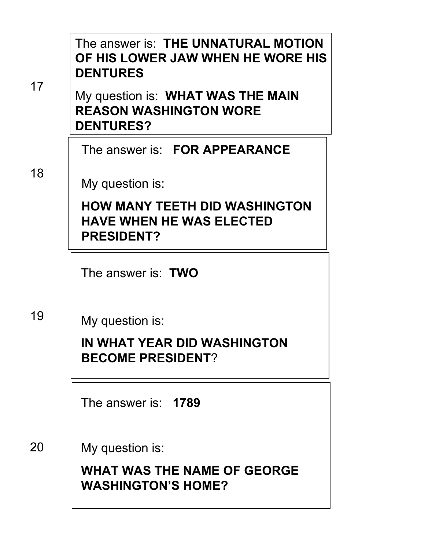|    | The answer is: THE UNNATURAL MOTION<br>OF HIS LOWER JAW WHEN HE WORE HIS<br><b>DENTURES</b>  |
|----|----------------------------------------------------------------------------------------------|
| 17 | My question is: WHAT WAS THE MAIN<br><b>REASON WASHINGTON WORE</b><br><b>DENTURES?</b>       |
|    | The answer is: FOR APPEARANCE                                                                |
| 18 | My question is:                                                                              |
|    | <b>HOW MANY TEETH DID WASHINGTON</b><br><b>HAVE WHEN HE WAS ELECTED</b><br><b>PRESIDENT?</b> |
|    | The answer is: <b>TWO</b>                                                                    |
| 19 | My question is:                                                                              |
|    | IN WHAT YEAR DID WASHINGTON<br><b>BECOME PRESIDENT?</b>                                      |
|    | The answer is: 1789                                                                          |
| 20 | My question is:                                                                              |
|    | <b>WHAT WAS THE NAME OF GEORGE</b><br><b>WASHINGTON'S HOME?</b>                              |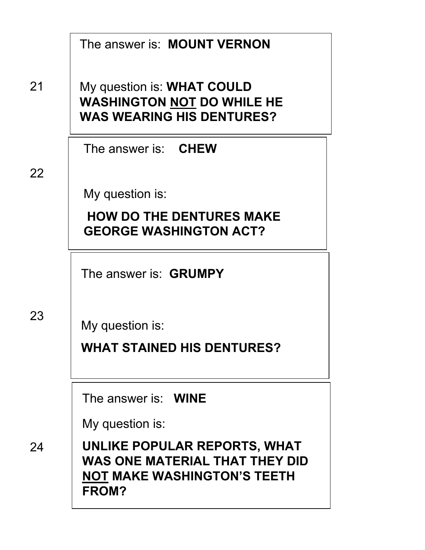|    | The answer is: MOUNT VERNON                                                                                   |  |
|----|---------------------------------------------------------------------------------------------------------------|--|
| 21 | My question is: WHAT COULD<br><b>WASHINGTON NOT DO WHILE HE</b><br><b>WAS WEARING HIS DENTURES?</b>           |  |
|    | The answer is: <b>CHEW</b>                                                                                    |  |
| 22 | My question is:                                                                                               |  |
|    | <b>HOW DO THE DENTURES MAKE</b><br><b>GEORGE WASHINGTON ACT?</b>                                              |  |
|    | The answer is: <b>GRUMPY</b>                                                                                  |  |
| 23 | My question is:                                                                                               |  |
|    | <b>WHAT STAINED HIS DENTURES?</b>                                                                             |  |
|    | The answer is: <b>WINE</b>                                                                                    |  |
|    | My question is:                                                                                               |  |
| 24 | UNLIKE POPULAR REPORTS, WHAT<br>WAS ONE MATERIAL THAT THEY DID<br><b>NOT MAKE WASHINGTON'S TEETH</b><br>FROM? |  |